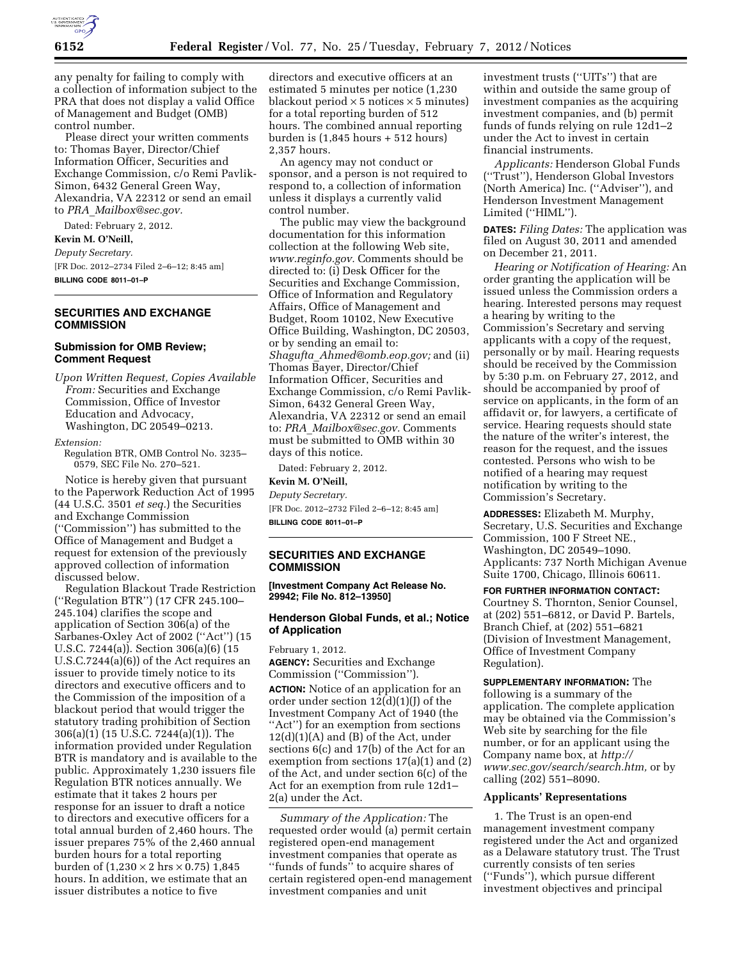

any penalty for failing to comply with a collection of information subject to the PRA that does not display a valid Office of Management and Budget (OMB) control number.

Please direct your written comments to: Thomas Bayer, Director/Chief Information Officer, Securities and Exchange Commission, c/o Remi Pavlik-Simon, 6432 General Green Way, Alexandria, VA 22312 or send an email to *PRA*\_*[Mailbox@sec.gov.](mailto:PRA_Mailbox@sec.gov)* 

Dated: February 2, 2012. **Kevin M. O'Neill,** 

*Deputy Secretary.*  [FR Doc. 2012–2734 Filed 2–6–12; 8:45 am] **BILLING CODE 8011–01–P** 

### **SECURITIES AND EXCHANGE COMMISSION**

## **Submission for OMB Review; Comment Request**

*Upon Written Request, Copies Available From:* Securities and Exchange Commission, Office of Investor Education and Advocacy, Washington, DC 20549–0213.

#### *Extension:*

Regulation BTR, OMB Control No. 3235– 0579, SEC File No. 270–521.

Notice is hereby given that pursuant to the Paperwork Reduction Act of 1995 (44 U.S.C. 3501 *et seq.*) the Securities and Exchange Commission (''Commission'') has submitted to the Office of Management and Budget a request for extension of the previously approved collection of information discussed below.

Regulation Blackout Trade Restriction (''Regulation BTR'') (17 CFR 245.100– 245.104) clarifies the scope and application of Section 306(a) of the Sarbanes-Oxley Act of 2002 (''Act'') (15 U.S.C. 7244(a)). Section 306(a)(6) (15 U.S.C.7244(a)(6)) of the Act requires an issuer to provide timely notice to its directors and executive officers and to the Commission of the imposition of a blackout period that would trigger the statutory trading prohibition of Section 306(a)(1) (15 U.S.C. 7244(a)(1)). The information provided under Regulation BTR is mandatory and is available to the public. Approximately 1,230 issuers file Regulation BTR notices annually. We estimate that it takes 2 hours per response for an issuer to draft a notice to directors and executive officers for a total annual burden of 2,460 hours. The issuer prepares 75% of the 2,460 annual burden hours for a total reporting burden of  $(1,230 \times 2 \text{ hrs} \times 0.75)$  1,845 hours. In addition, we estimate that an issuer distributes a notice to five

directors and executive officers at an estimated 5 minutes per notice (1,230 blackout period  $\times$  5 notices  $\times$  5 minutes) for a total reporting burden of 512 hours. The combined annual reporting burden is (1,845 hours + 512 hours) 2,357 hours.

An agency may not conduct or sponsor, and a person is not required to respond to, a collection of information unless it displays a currently valid control number.

The public may view the background documentation for this information collection at the following Web site, *[www.reginfo.gov.](http://www.reginfo.gov)* Comments should be directed to: (i) Desk Officer for the Securities and Exchange Commission, Office of Information and Regulatory Affairs, Office of Management and Budget, Room 10102, New Executive Office Building, Washington, DC 20503, or by sending an email to: *Shagufta*\_*[Ahmed@omb.eop.gov;](mailto:Shagufta_Ahmed@omb.eop.gov)* and (ii) Thomas Bayer, Director/Chief Information Officer, Securities and Exchange Commission, c/o Remi Pavlik-Simon, 6432 General Green Way, Alexandria, VA 22312 or send an email to: *PRA*\_*[Mailbox@sec.gov.](mailto:PRA_Mailbox@sec.gov)* Comments must be submitted to OMB within 30 days of this notice.

Dated: February 2, 2012.

### **Kevin M. O'Neill,**

*Deputy Secretary.*  [FR Doc. 2012–2732 Filed 2–6–12; 8:45 am] **BILLING CODE 8011–01–P** 

# **SECURITIES AND EXCHANGE COMMISSION**

**[Investment Company Act Release No. 29942; File No. 812–13950]** 

# **Henderson Global Funds, et al.; Notice of Application**

February 1, 2012.

**AGENCY:** Securities and Exchange Commission (''Commission'').

**ACTION:** Notice of an application for an order under section  $12(d)(1)(J)$  of the Investment Company Act of 1940 (the ''Act'') for an exemption from sections  $12(d)(1)(A)$  and  $(B)$  of the Act, under sections 6(c) and 17(b) of the Act for an exemption from sections 17(a)(1) and (2) of the Act, and under section 6(c) of the Act for an exemption from rule 12d1– 2(a) under the Act.

*Summary of the Application:* The requested order would (a) permit certain registered open-end management investment companies that operate as ''funds of funds'' to acquire shares of certain registered open-end management investment companies and unit

investment trusts (''UITs'') that are within and outside the same group of investment companies as the acquiring investment companies, and (b) permit funds of funds relying on rule 12d1–2 under the Act to invest in certain financial instruments.

*Applicants:* Henderson Global Funds (''Trust''), Henderson Global Investors (North America) Inc. (''Adviser''), and Henderson Investment Management Limited (''HIML'').

**DATES:** *Filing Dates:* The application was filed on August 30, 2011 and amended on December 21, 2011.

*Hearing or Notification of Hearing:* An order granting the application will be issued unless the Commission orders a hearing. Interested persons may request a hearing by writing to the Commission's Secretary and serving applicants with a copy of the request, personally or by mail. Hearing requests should be received by the Commission by 5:30 p.m. on February 27, 2012, and should be accompanied by proof of service on applicants, in the form of an affidavit or, for lawyers, a certificate of service. Hearing requests should state the nature of the writer's interest, the reason for the request, and the issues contested. Persons who wish to be notified of a hearing may request notification by writing to the Commission's Secretary.

**ADDRESSES:** Elizabeth M. Murphy, Secretary, U.S. Securities and Exchange Commission, 100 F Street NE., Washington, DC 20549–1090. Applicants: 737 North Michigan Avenue Suite 1700, Chicago, Illinois 60611.

### **FOR FURTHER INFORMATION CONTACT:**

Courtney S. Thornton, Senior Counsel, at (202) 551–6812, or David P. Bartels, Branch Chief, at (202) 551–6821 (Division of Investment Management, Office of Investment Company Regulation).

**SUPPLEMENTARY INFORMATION:** The following is a summary of the application. The complete application may be obtained via the Commission's Web site by searching for the file number, or for an applicant using the Company name box, at *[http://](http://www.sec.gov/search/search.htm) [www.sec.gov/search/search.htm,](http://www.sec.gov/search/search.htm)* or by calling (202) 551–8090.

### **Applicants' Representations**

1. The Trust is an open-end management investment company registered under the Act and organized as a Delaware statutory trust. The Trust currently consists of ten series (''Funds''), which pursue different investment objectives and principal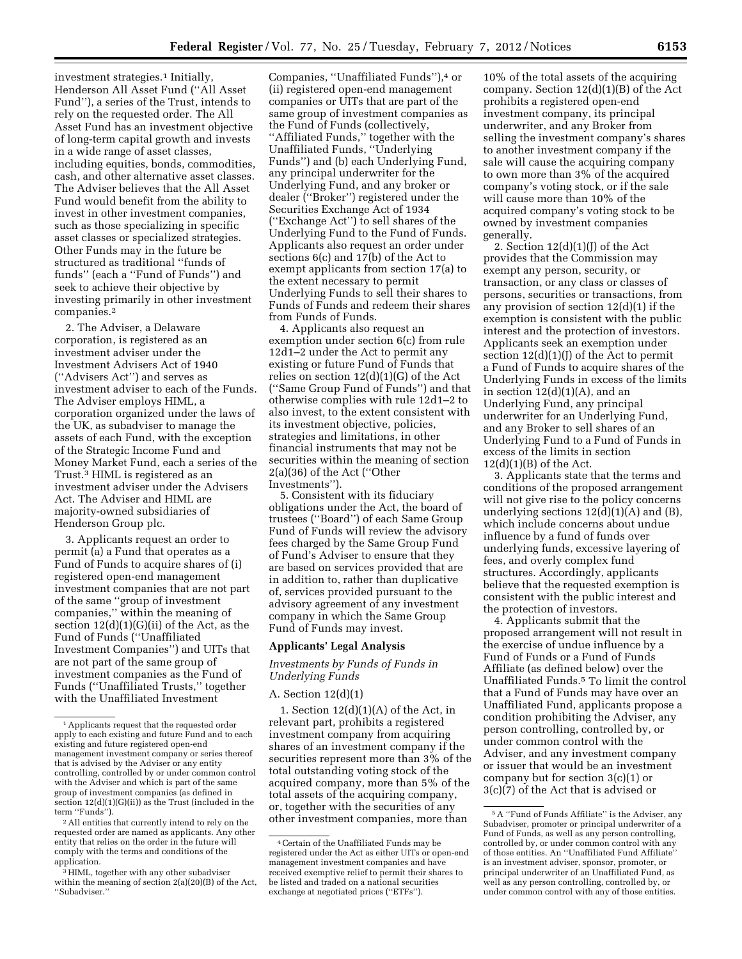investment strategies.<sup>1</sup> Initially, Henderson All Asset Fund (''All Asset Fund''), a series of the Trust, intends to rely on the requested order. The All Asset Fund has an investment objective of long-term capital growth and invests in a wide range of asset classes, including equities, bonds, commodities, cash, and other alternative asset classes. The Adviser believes that the All Asset Fund would benefit from the ability to invest in other investment companies, such as those specializing in specific asset classes or specialized strategies.

Other Funds may in the future be structured as traditional ''funds of funds'' (each a ''Fund of Funds'') and seek to achieve their objective by investing primarily in other investment companies.2

2. The Adviser, a Delaware corporation, is registered as an investment adviser under the Investment Advisers Act of 1940 (''Advisers Act'') and serves as investment adviser to each of the Funds. The Adviser employs HIML, a corporation organized under the laws of the UK, as subadviser to manage the assets of each Fund, with the exception of the Strategic Income Fund and Money Market Fund, each a series of the Trust.3 HIML is registered as an investment adviser under the Advisers Act. The Adviser and HIML are majority-owned subsidiaries of Henderson Group plc.

3. Applicants request an order to permit (a) a Fund that operates as a Fund of Funds to acquire shares of (i) registered open-end management investment companies that are not part of the same ''group of investment companies,'' within the meaning of section 12(d)(1)(G)(ii) of the Act, as the Fund of Funds (''Unaffiliated Investment Companies'') and UITs that are not part of the same group of investment companies as the Fund of Funds (''Unaffiliated Trusts,'' together with the Unaffiliated Investment

2All entities that currently intend to rely on the requested order are named as applicants. Any other entity that relies on the order in the future will comply with the terms and conditions of the application.

3HIML, together with any other subadviser within the meaning of section 2(a)(20)(B) of the Act, ''Subadviser.''

Companies, ''Unaffiliated Funds''),4 or (ii) registered open-end management companies or UITs that are part of the same group of investment companies as the Fund of Funds (collectively, ''Affiliated Funds,'' together with the Unaffiliated Funds, ''Underlying Funds'') and (b) each Underlying Fund, any principal underwriter for the Underlying Fund, and any broker or dealer (''Broker'') registered under the Securities Exchange Act of 1934 (''Exchange Act'') to sell shares of the Underlying Fund to the Fund of Funds. Applicants also request an order under sections 6(c) and 17(b) of the Act to exempt applicants from section 17(a) to the extent necessary to permit Underlying Funds to sell their shares to Funds of Funds and redeem their shares from Funds of Funds.

4. Applicants also request an exemption under section 6(c) from rule 12d1–2 under the Act to permit any existing or future Fund of Funds that relies on section 12(d)(1)(G) of the Act (''Same Group Fund of Funds'') and that otherwise complies with rule 12d1–2 to also invest, to the extent consistent with its investment objective, policies, strategies and limitations, in other financial instruments that may not be securities within the meaning of section 2(a)(36) of the Act (''Other Investments'').

5. Consistent with its fiduciary obligations under the Act, the board of trustees (''Board'') of each Same Group Fund of Funds will review the advisory fees charged by the Same Group Fund of Fund's Adviser to ensure that they are based on services provided that are in addition to, rather than duplicative of, services provided pursuant to the advisory agreement of any investment company in which the Same Group Fund of Funds may invest.

### **Applicants' Legal Analysis**

*Investments by Funds of Funds in Underlying Funds* 

### A. Section 12(d)(1)

1. Section  $12(d)(1)(A)$  of the Act, in relevant part, prohibits a registered investment company from acquiring shares of an investment company if the securities represent more than 3% of the total outstanding voting stock of the acquired company, more than 5% of the total assets of the acquiring company, or, together with the securities of any other investment companies, more than

10% of the total assets of the acquiring company. Section 12(d)(1)(B) of the Act prohibits a registered open-end investment company, its principal underwriter, and any Broker from selling the investment company's shares to another investment company if the sale will cause the acquiring company to own more than 3% of the acquired company's voting stock, or if the sale will cause more than 10% of the acquired company's voting stock to be owned by investment companies generally.

2. Section  $12(d)(1)(J)$  of the Act provides that the Commission may exempt any person, security, or transaction, or any class or classes of persons, securities or transactions, from any provision of section 12(d)(1) if the exemption is consistent with the public interest and the protection of investors. Applicants seek an exemption under section  $12(d)(1)(J)$  of the Act to permit a Fund of Funds to acquire shares of the Underlying Funds in excess of the limits in section  $12(d)(1)(A)$ , and an Underlying Fund, any principal underwriter for an Underlying Fund, and any Broker to sell shares of an Underlying Fund to a Fund of Funds in excess of the limits in section  $12(d)(1)(B)$  of the Act.

3. Applicants state that the terms and conditions of the proposed arrangement will not give rise to the policy concerns underlying sections  $12(d)(1)(A)$  and  $(B)$ , which include concerns about undue influence by a fund of funds over underlying funds, excessive layering of fees, and overly complex fund structures. Accordingly, applicants believe that the requested exemption is consistent with the public interest and the protection of investors.

4. Applicants submit that the proposed arrangement will not result in the exercise of undue influence by a Fund of Funds or a Fund of Funds Affiliate (as defined below) over the Unaffiliated Funds.5 To limit the control that a Fund of Funds may have over an Unaffiliated Fund, applicants propose a condition prohibiting the Adviser, any person controlling, controlled by, or under common control with the Adviser, and any investment company or issuer that would be an investment company but for section 3(c)(1) or 3(c)(7) of the Act that is advised or

<sup>1</sup>Applicants request that the requested order apply to each existing and future Fund and to each existing and future registered open-end management investment company or series thereof that is advised by the Adviser or any entity controlling, controlled by or under common control with the Adviser and which is part of the same group of investment companies (as defined in section 12(d)(1)(G)(ii)) as the Trust (included in the term ''Funds'').

<sup>4</sup>Certain of the Unaffiliated Funds may be registered under the Act as either UITs or open-end management investment companies and have received exemptive relief to permit their shares to be listed and traded on a national securities exchange at negotiated prices (''ETFs'').

<sup>5</sup>A ''Fund of Funds Affiliate'' is the Adviser, any Subadviser, promoter or principal underwriter of a Fund of Funds, as well as any person controlling, controlled by, or under common control with any of those entities. An ''Unaffiliated Fund Affiliate'' is an investment adviser, sponsor, promoter, or principal underwriter of an Unaffiliated Fund, as well as any person controlling, controlled by, or under common control with any of those entities.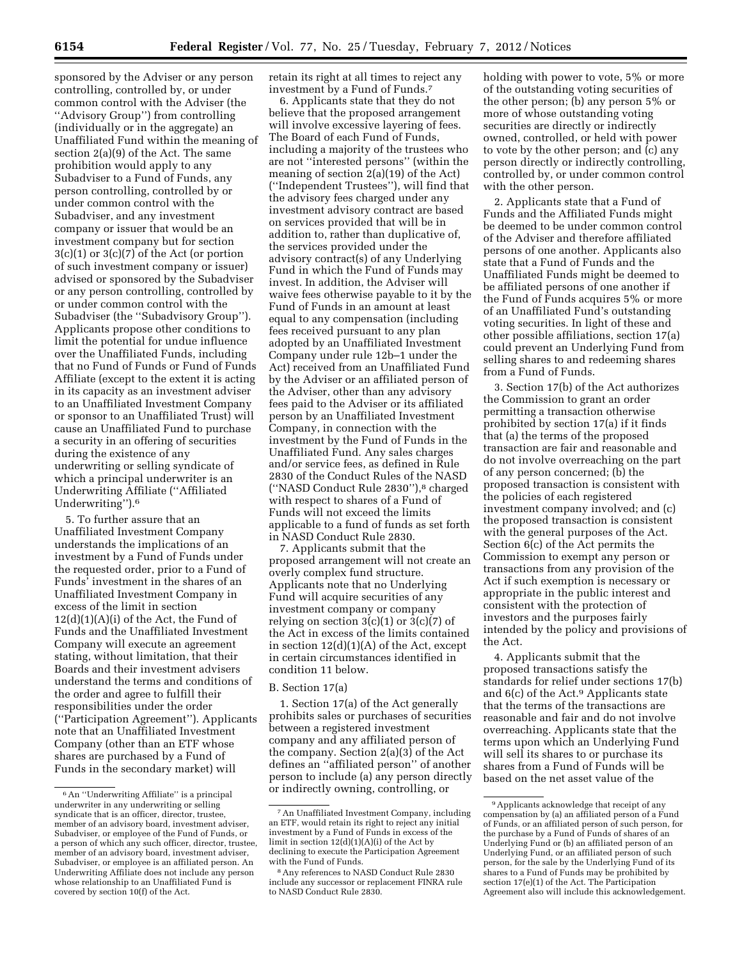sponsored by the Adviser or any person controlling, controlled by, or under common control with the Adviser (the ''Advisory Group'') from controlling (individually or in the aggregate) an Unaffiliated Fund within the meaning of section 2(a)(9) of the Act. The same prohibition would apply to any Subadviser to a Fund of Funds, any person controlling, controlled by or under common control with the Subadviser, and any investment company or issuer that would be an investment company but for section 3(c)(1) or 3(c)(7) of the Act (or portion of such investment company or issuer) advised or sponsored by the Subadviser or any person controlling, controlled by or under common control with the Subadviser (the ''Subadvisory Group''). Applicants propose other conditions to limit the potential for undue influence over the Unaffiliated Funds, including that no Fund of Funds or Fund of Funds Affiliate (except to the extent it is acting in its capacity as an investment adviser to an Unaffiliated Investment Company or sponsor to an Unaffiliated Trust) will cause an Unaffiliated Fund to purchase a security in an offering of securities during the existence of any underwriting or selling syndicate of which a principal underwriter is an Underwriting Affiliate (''Affiliated Underwriting'').6

5. To further assure that an Unaffiliated Investment Company understands the implications of an investment by a Fund of Funds under the requested order, prior to a Fund of Funds' investment in the shares of an Unaffiliated Investment Company in excess of the limit in section  $12(d)(1)(A)(i)$  of the Act, the Fund of Funds and the Unaffiliated Investment Company will execute an agreement stating, without limitation, that their Boards and their investment advisers understand the terms and conditions of the order and agree to fulfill their responsibilities under the order (''Participation Agreement''). Applicants note that an Unaffiliated Investment Company (other than an ETF whose shares are purchased by a Fund of Funds in the secondary market) will

retain its right at all times to reject any investment by a Fund of Funds.7

6. Applicants state that they do not believe that the proposed arrangement will involve excessive layering of fees. The Board of each Fund of Funds, including a majority of the trustees who are not ''interested persons'' (within the meaning of section 2(a)(19) of the Act) (''Independent Trustees''), will find that the advisory fees charged under any investment advisory contract are based on services provided that will be in addition to, rather than duplicative of, the services provided under the advisory contract(s) of any Underlying Fund in which the Fund of Funds may invest. In addition, the Adviser will waive fees otherwise payable to it by the Fund of Funds in an amount at least equal to any compensation (including fees received pursuant to any plan adopted by an Unaffiliated Investment Company under rule 12b–1 under the Act) received from an Unaffiliated Fund by the Adviser or an affiliated person of the Adviser, other than any advisory fees paid to the Adviser or its affiliated person by an Unaffiliated Investment Company, in connection with the investment by the Fund of Funds in the Unaffiliated Fund. Any sales charges and/or service fees, as defined in Rule 2830 of the Conduct Rules of the NASD (''NASD Conduct Rule 2830''),8 charged with respect to shares of a Fund of Funds will not exceed the limits applicable to a fund of funds as set forth in NASD Conduct Rule 2830.

7. Applicants submit that the proposed arrangement will not create an overly complex fund structure. Applicants note that no Underlying Fund will acquire securities of any investment company or company relying on section  $3(c)(1)$  or  $3(c)(7)$  of the Act in excess of the limits contained in section 12(d)(1)(A) of the Act, except in certain circumstances identified in condition 11 below.

#### B. Section 17(a)

1. Section 17(a) of the Act generally prohibits sales or purchases of securities between a registered investment company and any affiliated person of the company. Section 2(a)(3) of the Act defines an ''affiliated person'' of another person to include (a) any person directly or indirectly owning, controlling, or

holding with power to vote, 5% or more of the outstanding voting securities of the other person; (b) any person 5% or more of whose outstanding voting securities are directly or indirectly owned, controlled, or held with power to vote by the other person; and (c) any person directly or indirectly controlling, controlled by, or under common control with the other person.

2. Applicants state that a Fund of Funds and the Affiliated Funds might be deemed to be under common control of the Adviser and therefore affiliated persons of one another. Applicants also state that a Fund of Funds and the Unaffiliated Funds might be deemed to be affiliated persons of one another if the Fund of Funds acquires 5% or more of an Unaffiliated Fund's outstanding voting securities. In light of these and other possible affiliations, section 17(a) could prevent an Underlying Fund from selling shares to and redeeming shares from a Fund of Funds.

3. Section 17(b) of the Act authorizes the Commission to grant an order permitting a transaction otherwise prohibited by section 17(a) if it finds that (a) the terms of the proposed transaction are fair and reasonable and do not involve overreaching on the part of any person concerned; (b) the proposed transaction is consistent with the policies of each registered investment company involved; and (c) the proposed transaction is consistent with the general purposes of the Act. Section 6(c) of the Act permits the Commission to exempt any person or transactions from any provision of the Act if such exemption is necessary or appropriate in the public interest and consistent with the protection of investors and the purposes fairly intended by the policy and provisions of the Act.

4. Applicants submit that the proposed transactions satisfy the standards for relief under sections 17(b) and 6(c) of the Act.9 Applicants state that the terms of the transactions are reasonable and fair and do not involve overreaching. Applicants state that the terms upon which an Underlying Fund will sell its shares to or purchase its shares from a Fund of Funds will be based on the net asset value of the

<sup>6</sup>An ''Underwriting Affiliate'' is a principal underwriter in any underwriting or selling syndicate that is an officer, director, trustee, member of an advisory board, investment adviser, Subadviser, or employee of the Fund of Funds, or a person of which any such officer, director, trustee, member of an advisory board, investment adviser, Subadviser, or employee is an affiliated person. An Underwriting Affiliate does not include any person whose relationship to an Unaffiliated Fund is covered by section 10(f) of the Act.

<sup>7</sup>An Unaffiliated Investment Company, including an ETF, would retain its right to reject any initial investment by a Fund of Funds in excess of the limit in section 12(d)(1)(A)(i) of the Act by declining to execute the Participation Agreement with the Fund of Funds.

<sup>8</sup>Any references to NASD Conduct Rule 2830 include any successor or replacement FINRA rule to NASD Conduct Rule 2830.

<sup>9</sup>Applicants acknowledge that receipt of any compensation by (a) an affiliated person of a Fund of Funds, or an affiliated person of such person, for the purchase by a Fund of Funds of shares of an Underlying Fund or (b) an affiliated person of an Underlying Fund, or an affiliated person of such person, for the sale by the Underlying Fund of its shares to a Fund of Funds may be prohibited by section 17(e)(1) of the Act. The Participation Agreement also will include this acknowledgement.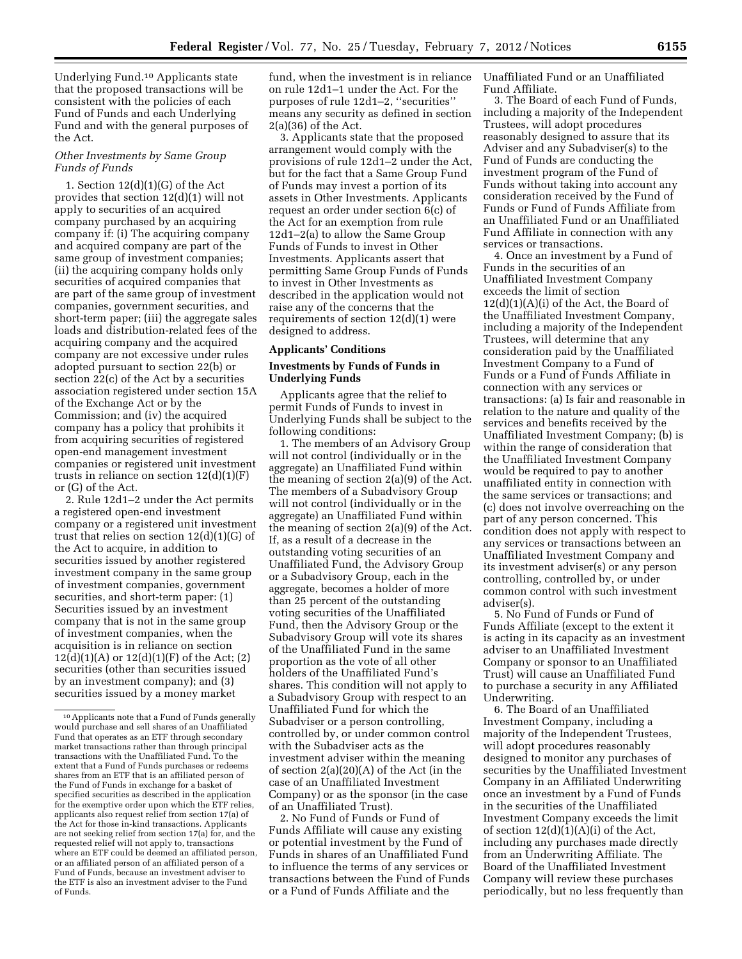Underlying Fund.10 Applicants state that the proposed transactions will be consistent with the policies of each Fund of Funds and each Underlying Fund and with the general purposes of the Act.

## *Other Investments by Same Group Funds of Funds*

1. Section 12(d)(1)(G) of the Act provides that section 12(d)(1) will not apply to securities of an acquired company purchased by an acquiring company if: (i) The acquiring company and acquired company are part of the same group of investment companies; (ii) the acquiring company holds only securities of acquired companies that are part of the same group of investment companies, government securities, and short-term paper; (iii) the aggregate sales loads and distribution-related fees of the acquiring company and the acquired company are not excessive under rules adopted pursuant to section 22(b) or section 22(c) of the Act by a securities association registered under section 15A of the Exchange Act or by the Commission; and (iv) the acquired company has a policy that prohibits it from acquiring securities of registered open-end management investment companies or registered unit investment trusts in reliance on section 12(d)(1)(F) or (G) of the Act.

2. Rule 12d1–2 under the Act permits a registered open-end investment company or a registered unit investment trust that relies on section 12(d)(1)(G) of the Act to acquire, in addition to securities issued by another registered investment company in the same group of investment companies, government securities, and short-term paper: (1) Securities issued by an investment company that is not in the same group of investment companies, when the acquisition is in reliance on section  $12(d)(1)(A)$  or  $12(d)(1)(F)$  of the Act; (2) securities (other than securities issued by an investment company); and (3) securities issued by a money market

fund, when the investment is in reliance on rule 12d1–1 under the Act. For the purposes of rule 12d1–2, ''securities'' means any security as defined in section 2(a)(36) of the Act.

3. Applicants state that the proposed arrangement would comply with the provisions of rule 12d1–2 under the Act, but for the fact that a Same Group Fund of Funds may invest a portion of its assets in Other Investments. Applicants request an order under section 6(c) of the Act for an exemption from rule 12d1–2(a) to allow the Same Group Funds of Funds to invest in Other Investments. Applicants assert that permitting Same Group Funds of Funds to invest in Other Investments as described in the application would not raise any of the concerns that the requirements of section  $12(d)(1)$  were designed to address.

### **Applicants' Conditions**

### **Investments by Funds of Funds in Underlying Funds**

Applicants agree that the relief to permit Funds of Funds to invest in Underlying Funds shall be subject to the following conditions:

1. The members of an Advisory Group will not control (individually or in the aggregate) an Unaffiliated Fund within the meaning of section 2(a)(9) of the Act. The members of a Subadvisory Group will not control (individually or in the aggregate) an Unaffiliated Fund within the meaning of section 2(a)(9) of the Act. If, as a result of a decrease in the outstanding voting securities of an Unaffiliated Fund, the Advisory Group or a Subadvisory Group, each in the aggregate, becomes a holder of more than 25 percent of the outstanding voting securities of the Unaffiliated Fund, then the Advisory Group or the Subadvisory Group will vote its shares of the Unaffiliated Fund in the same proportion as the vote of all other holders of the Unaffiliated Fund's shares. This condition will not apply to a Subadvisory Group with respect to an Unaffiliated Fund for which the Subadviser or a person controlling, controlled by, or under common control with the Subadviser acts as the investment adviser within the meaning of section 2(a)(20)(A) of the Act (in the case of an Unaffiliated Investment Company) or as the sponsor (in the case of an Unaffiliated Trust).

2. No Fund of Funds or Fund of Funds Affiliate will cause any existing or potential investment by the Fund of Funds in shares of an Unaffiliated Fund to influence the terms of any services or transactions between the Fund of Funds or a Fund of Funds Affiliate and the

Unaffiliated Fund or an Unaffiliated Fund Affiliate.

3. The Board of each Fund of Funds, including a majority of the Independent Trustees, will adopt procedures reasonably designed to assure that its Adviser and any Subadviser(s) to the Fund of Funds are conducting the investment program of the Fund of Funds without taking into account any consideration received by the Fund of Funds or Fund of Funds Affiliate from an Unaffiliated Fund or an Unaffiliated Fund Affiliate in connection with any services or transactions.

4. Once an investment by a Fund of Funds in the securities of an Unaffiliated Investment Company exceeds the limit of section  $12(d)(1)(A)(i)$  of the Act, the Board of the Unaffiliated Investment Company, including a majority of the Independent Trustees, will determine that any consideration paid by the Unaffiliated Investment Company to a Fund of Funds or a Fund of Funds Affiliate in connection with any services or transactions: (a) Is fair and reasonable in relation to the nature and quality of the services and benefits received by the Unaffiliated Investment Company; (b) is within the range of consideration that the Unaffiliated Investment Company would be required to pay to another unaffiliated entity in connection with the same services or transactions; and (c) does not involve overreaching on the part of any person concerned. This condition does not apply with respect to any services or transactions between an Unaffiliated Investment Company and its investment adviser(s) or any person controlling, controlled by, or under common control with such investment adviser(s).

5. No Fund of Funds or Fund of Funds Affiliate (except to the extent it is acting in its capacity as an investment adviser to an Unaffiliated Investment Company or sponsor to an Unaffiliated Trust) will cause an Unaffiliated Fund to purchase a security in any Affiliated Underwriting.

6. The Board of an Unaffiliated Investment Company, including a majority of the Independent Trustees, will adopt procedures reasonably designed to monitor any purchases of securities by the Unaffiliated Investment Company in an Affiliated Underwriting once an investment by a Fund of Funds in the securities of the Unaffiliated Investment Company exceeds the limit of section  $12(d)(1)(A)(i)$  of the Act, including any purchases made directly from an Underwriting Affiliate. The Board of the Unaffiliated Investment Company will review these purchases periodically, but no less frequently than

<sup>10</sup>Applicants note that a Fund of Funds generally would purchase and sell shares of an Unaffiliated Fund that operates as an ETF through secondary market transactions rather than through principal transactions with the Unaffiliated Fund. To the extent that a Fund of Funds purchases or redeems shares from an ETF that is an affiliated person of the Fund of Funds in exchange for a basket of specified securities as described in the application for the exemptive order upon which the ETF relies, applicants also request relief from section 17(a) of the Act for those in-kind transactions. Applicants are not seeking relief from section 17(a) for, and the requested relief will not apply to, transactions where an ETF could be deemed an affiliated person, or an affiliated person of an affiliated person of a Fund of Funds, because an investment adviser to the ETF is also an investment adviser to the Fund of Funds.